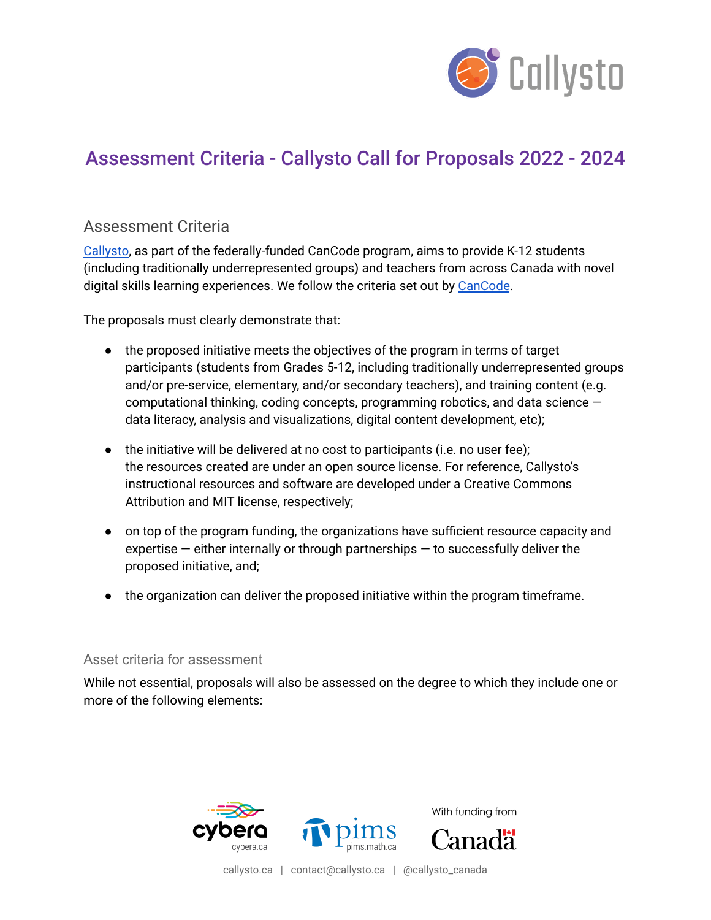

## Assessment Criteria - Callysto Call for Proposals 2022 - 2024

## Assessment Criteria

[Callysto](https://callysto.ca/), as part of the federally-funded CanCode program, aims to provide K-12 students (including traditionally underrepresented groups) and teachers from across Canada with novel digital skills learning experiences. We follow the criteria set out by [CanCode](https://www.ic.gc.ca/eic/site/121.nsf/eng/home).

The proposals must clearly demonstrate that:

- the proposed initiative meets the objectives of the program in terms of target participants (students from Grades 5-12, including traditionally underrepresented groups and/or pre-service, elementary, and/or secondary teachers), and training content (e.g. computational thinking, coding concepts, programming robotics, and data science data literacy, analysis and visualizations, digital content development, etc);
- the initiative will be delivered at no cost to participants (i.e. no user fee); the resources created are under an open source license. For reference, Callysto's instructional resources and software are developed under a Creative Commons Attribution and MIT license, respectively;
- on top of the program funding, the organizations have sufficient resource capacity and expertise  $-$  either internally or through partnerships  $-$  to successfully deliver the proposed initiative, and;
- the organization can deliver the proposed initiative within the program timeframe.

## Asset criteria for assessment

While not essential, proposals will also be assessed on the degree to which they include one or more of the following elements:



callysto.ca | contact@callysto.ca | @callysto\_canada